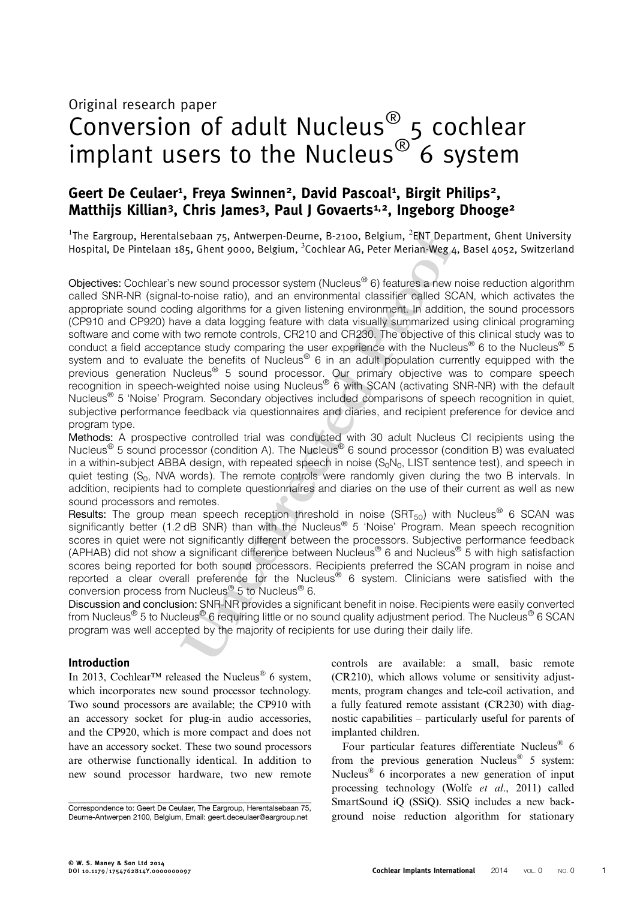# Original research paper Conversion of adult Nucleus® 5 cochlear implant users to the Nucleus<sup>®</sup> 6 system

# Geert De Ceulaer<sup>1</sup>, Freya Swinnen<sup>2</sup>, David Pascoal<sup>1</sup>, Birgit Philips<sup>2</sup>, Matthijs Killian<sup>3</sup>, Chris James<sup>3</sup>, Paul J Govaerts<sup>1,2</sup>, Ingeborg Dhooge<sup>2</sup>

<sup>1</sup>The Eargroup, Herentalsebaan 75, Antwerpen-Deurne, B-2100, Belgium, <sup>2</sup>ENT Department, Ghent University Hospital, De Pintelaan 185, Ghent 9000, Belgium, <sup>3</sup>Cochlear AG, Peter Merian-Weg 4, Basel 4052, Switzerland

Sebaan 75, Antwerpen-Deurne, B-2100, Belgium, <sup>2</sup>ENT Departr<br>
B5, Ghent 9000, Belgium, <sup>3</sup>Cochlear AG, Peter Merian-Weg 4, E<br>
Few sound processor system (Nucleus<sup>®</sup> 6) features a new not<br>
to-noise ratio b, and an environm Objectives: Cochlear's new sound processor system (Nucleus® 6) features a new noise reduction algorithm called SNR-NR (signal-to-noise ratio), and an environmental classifier called SCAN, which activates the appropriate sound coding algorithms for a given listening environment. In addition, the sound processors (CP910 and CP920) have a data logging feature with data visually summarized using clinical programing software and come with two remote controls, CR210 and CR230. The objective of this clinical study was to conduct a field acceptance study comparing the user experience with the Nucleus<sup>®</sup> 6 to the Nucleus<sup>®</sup> 5 system and to evaluate the benefits of Nucleus® 6 in an adult population currently equipped with the previous generation Nucleus® 5 sound processor. Our primary objective was to compare speech recognition in speech-weighted noise using Nucleus® 6 with SCAN (activating SNR-NR) with the default Nucleus<sup>®</sup> 5 'Noise' Program. Secondary objectives included comparisons of speech recognition in quiet, subjective performance feedback via questionnaires and diaries, and recipient preference for device and program type.

Methods: A prospective controlled trial was conducted with 30 adult Nucleus CI recipients using the Nucleus® 5 sound processor (condition A). The Nucleus® 6 sound processor (condition B) was evaluated in a within-subject ABBA design, with repeated speech in noise  $(S_0N_0, LIST)$  sentence test), and speech in quiet testing  $(S_0, NVA$  words). The remote controls were randomly given during the two B intervals. In addition, recipients had to complete questionnaires and diaries on the use of their current as well as new sound processors and remotes.

Results: The group mean speech reception threshold in noise (SRT<sub>50</sub>) with Nucleus<sup>®</sup> 6 SCAN was significantly better (1.2 dB SNR) than with the Nucleus<sup>®</sup> 5 'Noise' Program. Mean speech recognition scores in quiet were not significantly different between the processors. Subjective performance feedback (APHAB) did not show a significant difference between Nucleus® 6 and Nucleus® 5 with high satisfaction scores being reported for both sound processors. Recipients preferred the SCAN program in noise and reported a clear overall preference for the Nucleus® 6 system. Clinicians were satisfied with the conversion process from Nucleus® 5 to Nucleus® 6.

Discussion and conclusion: SNR-NR provides a significant benefit in noise. Recipients were easily converted from Nucleus® 5 to Nucleus® 6 requiring little or no sound quality adjustment period. The Nucleus® 6 SCAN program was well accepted by the majority of recipients for use during their daily life.

# Introduction

In 2013, Cochlear<sup>™</sup> released the Nucleus<sup>®</sup> 6 system, which incorporates new sound processor technology. Two sound processors are available; the CP910 with an accessory socket for plug-in audio accessories, and the CP920, which is more compact and does not have an accessory socket. These two sound processors are otherwise functionally identical. In addition to new sound processor hardware, two new remote controls are available: a small, basic remote (CR210), which allows volume or sensitivity adjustments, program changes and tele-coil activation, and a fully featured remote assistant (CR230) with diagnostic capabilities – particularly useful for parents of implanted children.

Four particular features differentiate Nucleus<sup>®</sup> 6 from the previous generation Nucleus<sup>®</sup> 5 system: Nucleus® 6 incorporates a new generation of input processing technology (Wolfe et al[., 2011](#page-10-0)) called SmartSound iQ (SSiQ). SSiQ includes a new back-Gorrespondence to: Geert De Ceulaer, The Eargroup, Herentalsebaan 75,<br>Deurne-Antwerpen 2100, Belgium, Email: geert deceulaer@eargroup.net ground noise reduction algorithm for stationary

Deurne-Antwerpen 2100, Belgium, Email: [geert.deceulaer@eargroup.net](mailto:geert.deceulaer@eargroup.net)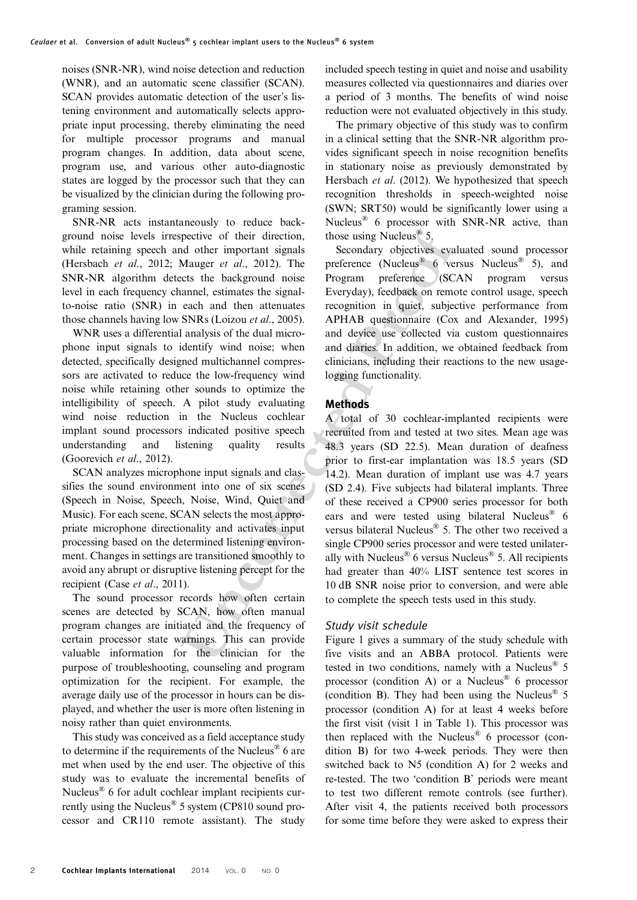noises (SNR-NR), wind noise detection and reduction (WNR), and an automatic scene classifier (SCAN). SCAN provides automatic detection of the user's listening environment and automatically selects appropriate input processing, thereby eliminating the need for multiple processor programs and manual program changes. In addition, data about scene, program use, and various other auto-diagnostic states are logged by the processor such that they can be visualized by the clinician during the following programing session.

SNR-NR acts instantaneously to reduce background noise levels irrespective of their direction, while retaining speech and other important signals [\(Hersbach](#page-10-0) et al., 2012; Mauger et al., 2012). The SNR-NR algorithm detects the background noise level in each frequency channel, estimates the signalto-noise ratio (SNR) in each and then attenuates those channels having low SNRs (Loizou et al., 2005).

WNR uses a differential analysis of the dual microphone input signals to identify wind noise; when detected, specifically designed multichannel compressors are activated to reduce the low-frequency wind noise while retaining other sounds to optimize the intelligibility of speech. A pilot study evaluating wind noise reduction in the Nucleus cochlear implant sound processors indicated positive speech understanding and listening quality results [\(Goorevich](#page-10-0) et al., 2012).

SCAN analyzes microphone input signals and classifies the sound environment into one of six scenes (Speech in Noise, Speech, Noise, Wind, Quiet and Music). For each scene, SCAN selects the most appropriate microphone directionality and activates input processing based on the determined listening environment. Changes in settings are transitioned smoothly to avoid any abrupt or disruptive listening percept for the recipient (Case et al[., 2011](#page-10-0)).

The sound processor records how often certain scenes are detected by SCAN, how often manual program changes are initiated and the frequency of certain processor state warnings. This can provide valuable information for the clinician for the purpose of troubleshooting, counseling and program optimization for the recipient. For example, the average daily use of the processor in hours can be displayed, and whether the user is more often listening in noisy rather than quiet environments.

This study was conceived as a field acceptance study to determine if the requirements of the Nucleus<sup>®</sup> 6 are met when used by the end user. The objective of this study was to evaluate the incremental benefits of Nucleus® 6 for adult cochlear implant recipients currently using the Nucleus® 5 system (CP810 sound processor and CR110 remote assistant). The study included speech testing in quiet and noise and usability measures collected via questionnaires and diaries over a period of 3 months. The benefits of wind noise reduction were not evaluated objectively in this study.

The primary objective of this study was to confirm in a clinical setting that the SNR-NR algorithm provides significant speech in noise recognition benefits in stationary noise as previously demonstrated by [Hersbach](#page-10-0) et al. (2012). We hypothesized that speech recognition thresholds in speech-weighted noise (SWN; SRT50) would be significantly lower using a Nucleus® 6 processor with SNR-NR active, than those using Nucleus<sup>®</sup> 5.

Secondary objectives evaluated sound processor preference (Nucleus® 6 versus Nucleus® 5), and Program preference (SCAN program versus Everyday), feedback on remote control usage, speech recognition in quiet, subjective performance from APHAB questionnaire ([Cox and Alexander, 1995\)](#page-10-0) and device use collected via custom questionnaires and diaries. In addition, we obtained feedback from clinicians, including their reactions to the new usagelogging functionality.

# **Methods**

pective of their direction, those using Nucleus<sup>®</sup> 5,<br>pective of their direction, those using Nucleus<sup>®</sup> 5,<br>Mauger et al., 2012). The preference (Nucleus<sup>®</sup> 6 verst<br>cts the background noise Program preference (SCA1<br>annel, A total of 30 cochlear-implanted recipients were recruited from and tested at two sites. Mean age was 48.3 years (SD 22.5). Mean duration of deafness prior to first-ear implantation was 18.5 years (SD 14.2). Mean duration of implant use was 4.7 years (SD 2.4). Five subjects had bilateral implants. Three of these received a CP900 series processor for both ears and were tested using bilateral Nucleus<sup>®</sup> 6 versus bilateral Nucleus® 5. The other two received a single CP900 series processor and were tested unilaterally with Nucleus<sup>®</sup> 6 versus Nucleus<sup>®</sup> 5. All recipients had greater than 40% LIST sentence test scores in 10 dB SNR noise prior to conversion, and were able to complete the speech tests used in this study.

# Study visit schedule

Figure 1 gives a summary of the study schedule with five visits and an ABBA protocol. Patients were tested in two conditions, namely with a Nucleus<sup>®</sup>  $5$ processor (condition A) or a Nucleus<sup>®</sup> 6 processor (condition B). They had been using the Nucleus<sup>®</sup> 5 processor (condition A) for at least 4 weeks before the first visit (visit 1 in Table [1\)](#page-2-0). This processor was then replaced with the Nucleus<sup>®</sup> 6 processor (condition B) for two 4-week periods. They were then switched back to N5 (condition A) for 2 weeks and re-tested. The two 'condition B' periods were meant to test two different remote controls (see further). After visit 4, the patients received both processors for some time before they were asked to express their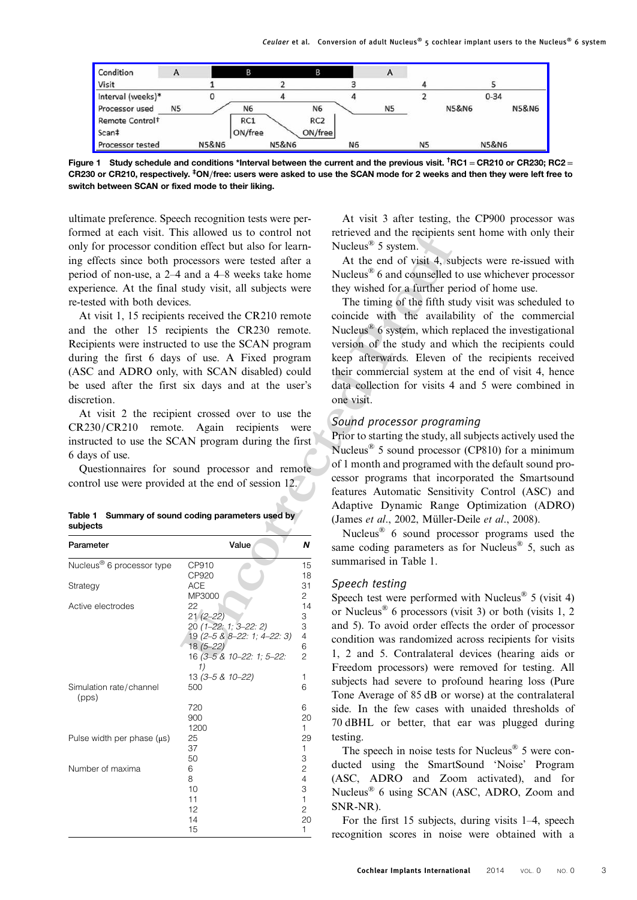<span id="page-2-0"></span>

Figure 1 Study schedule and conditions \*Interval between the current and the previous visit.  $^\dagger$ RC1 = CR210 or CR230; RC2 = CR230 or CR210, respectively. <sup>‡</sup>ON/free: users were asked to use the SCAN mode for 2 weeks and then they were left free to switch between SCAN or fixed mode to their liking.

ultimate preference. Speech recognition tests were performed at each visit. This allowed us to control not only for processor condition effect but also for learning effects since both processors were tested after a period of non-use, a 2–4 and a 4–8 weeks take home experience. At the final study visit, all subjects were re-tested with both devices.

|          | Table 1 Summary of sound coding parameters used by |  |
|----------|----------------------------------------------------|--|
| subjects |                                                    |  |

| formed at each visit. This allowed us to control not<br>only for processor condition effect but also for learn-<br>ing effects since both processors were tested after a<br>period of non-use, a 2–4 and a 4–8 weeks take home<br>experience. At the final study visit, all subjects were<br>re-tested with both devices.<br>and the other 15 recipients the CR230 remote.<br>Recipients were instructed to use the SCAN program<br>during the first 6 days of use. A Fixed program<br>(ASC and ADRO only, with SCAN disabled) could<br>be used after the first six days and at the user's<br>discretion.<br>CR230/CR210 remote. Again recipients<br>instructed to use the SCAN program during the first<br>6 days of use.<br>control use were provided at the end of session 12. | At visit 1, 15 recipients received the CR210 remote<br>At visit 2 the recipient crossed over to use the<br>Questionnaires for sound processor and remote | were                     | retrieved and the recipients set<br>Nucleus <sup>®</sup> 5 system.<br>At the end of visit 4, subje<br>Nucleus <sup>®</sup> 6 and counselled to<br>they wished for a further perio<br>The timing of the fifth stud<br>coincide with the availabili<br>Nucleus <sup>®</sup> 6 system, which repl<br>version of the study and whi<br>keep afterwards. Eleven of<br>their commercial system at th<br>data collection for visits 4 an<br>one visit.<br>Sound processor programi<br>Prior to starting the study, all s<br>Nucleus <sup>®</sup> 5 sound processor (<br>of 1 month and programed wit<br>cessor programs that incorpo<br>features Automatic Sensitivit |
|-----------------------------------------------------------------------------------------------------------------------------------------------------------------------------------------------------------------------------------------------------------------------------------------------------------------------------------------------------------------------------------------------------------------------------------------------------------------------------------------------------------------------------------------------------------------------------------------------------------------------------------------------------------------------------------------------------------------------------------------------------------------------------------|----------------------------------------------------------------------------------------------------------------------------------------------------------|--------------------------|---------------------------------------------------------------------------------------------------------------------------------------------------------------------------------------------------------------------------------------------------------------------------------------------------------------------------------------------------------------------------------------------------------------------------------------------------------------------------------------------------------------------------------------------------------------------------------------------------------------------------------------------------------------|
|                                                                                                                                                                                                                                                                                                                                                                                                                                                                                                                                                                                                                                                                                                                                                                                   |                                                                                                                                                          |                          | Adaptive Dynamic Range                                                                                                                                                                                                                                                                                                                                                                                                                                                                                                                                                                                                                                        |
| Table 1 Summary of sound coding parameters used by<br>subjects                                                                                                                                                                                                                                                                                                                                                                                                                                                                                                                                                                                                                                                                                                                    |                                                                                                                                                          |                          | (James et al., 2002, Müller-De                                                                                                                                                                                                                                                                                                                                                                                                                                                                                                                                                                                                                                |
| Parameter                                                                                                                                                                                                                                                                                                                                                                                                                                                                                                                                                                                                                                                                                                                                                                         | Value                                                                                                                                                    | Ν                        | Nucleus <sup>®</sup> 6 sound process<br>same coding parameters as fo                                                                                                                                                                                                                                                                                                                                                                                                                                                                                                                                                                                          |
| Nucleus <sup>®</sup> 6 processor type                                                                                                                                                                                                                                                                                                                                                                                                                                                                                                                                                                                                                                                                                                                                             | CP910<br>CP920                                                                                                                                           | 15<br>18                 | summarised in Table 1.                                                                                                                                                                                                                                                                                                                                                                                                                                                                                                                                                                                                                                        |
| Strategy                                                                                                                                                                                                                                                                                                                                                                                                                                                                                                                                                                                                                                                                                                                                                                          | ACE<br>MP3000                                                                                                                                            | 31<br>$\mathbf{2}$       | Speech testing                                                                                                                                                                                                                                                                                                                                                                                                                                                                                                                                                                                                                                                |
| Active electrodes                                                                                                                                                                                                                                                                                                                                                                                                                                                                                                                                                                                                                                                                                                                                                                 | 22<br>$21(2 - 22)$<br>20 (1-22: 1; 3-22: 2)<br>19 (2-5 & 8-22: 1; 4-22: 3)                                                                               | 14<br>3<br>3<br>4        | Speech test were performed w<br>or Nucleus <sup>®</sup> 6 processors (vis.<br>and 5). To avoid order effects<br>condition was randomized ac                                                                                                                                                                                                                                                                                                                                                                                                                                                                                                                   |
|                                                                                                                                                                                                                                                                                                                                                                                                                                                                                                                                                                                                                                                                                                                                                                                   | $18(5 - 22)$<br>16 (3-5 & 10-22: 1; 5-22:<br>13 (3-5 & 10-22)                                                                                            | 6<br>$\overline{c}$<br>1 | 1, 2 and 5. Contralateral de<br>Freedom processors) were re                                                                                                                                                                                                                                                                                                                                                                                                                                                                                                                                                                                                   |
| Simulation rate/channel<br>(pps)                                                                                                                                                                                                                                                                                                                                                                                                                                                                                                                                                                                                                                                                                                                                                  | 500<br>720                                                                                                                                               | 6<br>6                   | subjects had severe to profo<br>Tone Average of 85 dB or wo<br>side. In the few cases with                                                                                                                                                                                                                                                                                                                                                                                                                                                                                                                                                                    |
|                                                                                                                                                                                                                                                                                                                                                                                                                                                                                                                                                                                                                                                                                                                                                                                   | 900                                                                                                                                                      | 20                       | 70 dBHL or better, that ea                                                                                                                                                                                                                                                                                                                                                                                                                                                                                                                                                                                                                                    |
| Pulse width per phase $(\mu s)$                                                                                                                                                                                                                                                                                                                                                                                                                                                                                                                                                                                                                                                                                                                                                   | 1200<br>25<br>37                                                                                                                                         | $\mathbf{1}$<br>29<br>1  | testing.<br>The speech in noise tests fo                                                                                                                                                                                                                                                                                                                                                                                                                                                                                                                                                                                                                      |
| Number of maxima                                                                                                                                                                                                                                                                                                                                                                                                                                                                                                                                                                                                                                                                                                                                                                  | 50<br>6<br>8                                                                                                                                             | 3<br>2<br>4              | ducted using the SmartSo<br>(ASC, ADRO and Zoom                                                                                                                                                                                                                                                                                                                                                                                                                                                                                                                                                                                                               |
|                                                                                                                                                                                                                                                                                                                                                                                                                                                                                                                                                                                                                                                                                                                                                                                   | 10<br>11<br>12                                                                                                                                           | 3<br>1<br>2              | Nucleus <sup>®</sup> 6 using SCAN (AS<br>SNR-NR).                                                                                                                                                                                                                                                                                                                                                                                                                                                                                                                                                                                                             |
|                                                                                                                                                                                                                                                                                                                                                                                                                                                                                                                                                                                                                                                                                                                                                                                   | 14<br>15                                                                                                                                                 | 20<br>1.                 | For the first 15 subjects, d<br>recognition scores in noise                                                                                                                                                                                                                                                                                                                                                                                                                                                                                                                                                                                                   |

At visit 3 after testing, the CP900 processor was retrieved and the recipients sent home with only their Nucleus<sup>®</sup> 5 system.

At the end of visit 4, subjects were re-issued with Nucleus® 6 and counselled to use whichever processor they wished for a further period of home use.

The timing of the fifth study visit was scheduled to coincide with the availability of the commercial Nucleus® 6 system, which replaced the investigational version of the study and which the recipients could keep afterwards. Eleven of the recipients received their commercial system at the end of visit 4, hence data collection for visits 4 and 5 were combined in one visit.

# Sound processor programing

Prior to starting the study, all subjects actively used the Nucleus® 5 sound processor (CP810) for a minimum of 1 month and programed with the default sound processor programs that incorporated the Smartsound features Automatic Sensitivity Control (ASC) and Adaptive Dynamic Range Optimization (ADRO) (James et al., 2002, [Müller-Deile](#page-10-0) et al., 2008).

Nucleus® 6 sound processor programs used the same coding parameters as for Nucleus<sup>®</sup> 5, such as summarised in Table 1.

# Speech testing

Speech test were performed with Nucleus<sup>®</sup> 5 (visit 4) or Nucleus<sup>®</sup> 6 processors (visit 3) or both (visits 1, 2) and 5). To avoid order effects the order of processor condition was randomized across recipients for visits 1, 2 and 5. Contralateral devices (hearing aids or Freedom processors) were removed for testing. All subjects had severe to profound hearing loss (Pure Tone Average of 85 dB or worse) at the contralateral side. In the few cases with unaided thresholds of 70 dBHL or better, that ear was plugged during testing.

The speech in noise tests for Nucleus<sup>®</sup> 5 were conducted using the SmartSound 'Noise' Program (ASC, ADRO and Zoom activated), and for Nucleus® 6 using SCAN (ASC, ADRO, Zoom and SNR-NR).

For the first 15 subjects, during visits 1–4, speech recognition scores in noise were obtained with a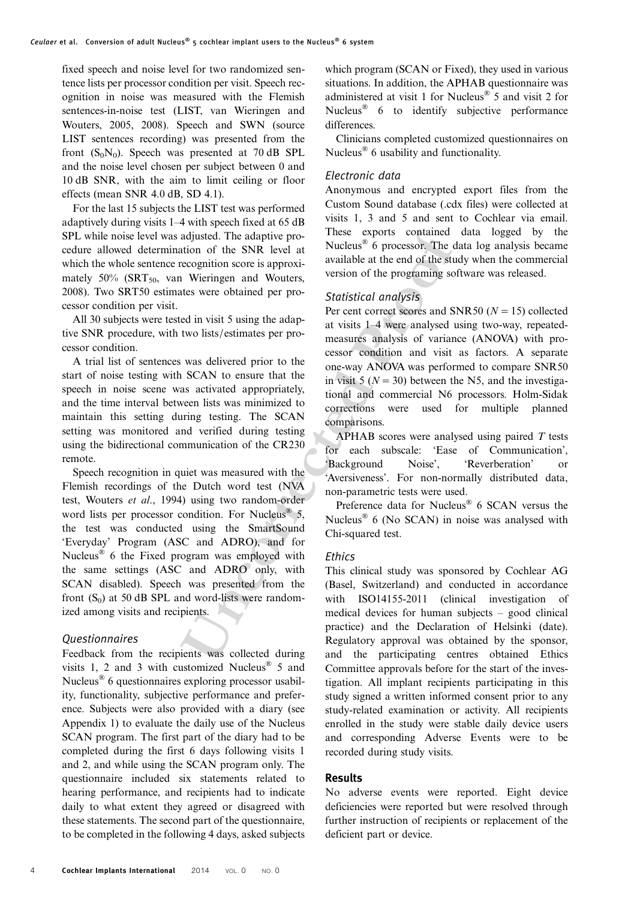fixed speech and noise level for two randomized sentence lists per processor condition per visit. Speech recognition in noise was measured with the Flemish sentences-in-noise test (LIST, [van Wieringen and](#page-10-0) [Wouters, 2005](#page-10-0), 2008). Speech and SWN (source LIST sentences recording) was presented from the front  $(S_0N_0)$ . Speech was presented at 70 dB SPL and the noise level chosen per subject between 0 and 10 dB SNR, with the aim to limit ceiling or floor effects (mean SNR 4.0 dB, SD 4.1).

For the last 15 subjects the LIST test was performed adaptively during visits 1–4 with speech fixed at 65 dB SPL while noise level was adjusted. The adaptive procedure allowed determination of the SNR level at which the whole sentence recognition score is approximately  $50\%$  (SRT<sub>50</sub>, [van Wieringen and Wouters,](#page-10-0) [2008\)](#page-10-0). Two SRT50 estimates were obtained per processor condition per visit.

All 30 subjects were tested in visit 5 using the adaptive SNR procedure, with two lists/estimates per processor condition.

A trial list of sentences was delivered prior to the start of noise testing with SCAN to ensure that the speech in noise scene was activated appropriately, and the time interval between lists was minimized to maintain this setting during testing. The SCAN setting was monitored and verified during testing using the bidirectional communication of the CR230 remote.

adjusted. The adaptive pro-<br>
These exports contained d<br>
it of the SNR level at Muclaus<sup>®</sup> 6 processor. The dat<br>
exception sore is approximated at the end of the study<br>
currence is approximated by a variable at the end of t Speech recognition in quiet was measured with the Flemish recordings of the Dutch word test (NVA test, [Wouters](#page-10-0) et al., 1994) using two random-order word lists per processor condition. For Nucleus<sup>®</sup>  $5$ , the test was conducted using the SmartSound 'Everyday' Program (ASC and ADRO), and for Nucleus® 6 the Fixed program was employed with the same settings (ASC and ADRO only, with SCAN disabled). Speech was presented from the front  $(S_0)$  at 50 dB SPL and word-lists were randomized among visits and recipients.

# Questionnaires

Feedback from the recipients was collected during visits 1, 2 and 3 with customized Nucleus<sup>®</sup> 5 and Nucleus® 6 questionnaires exploring processor usability, functionality, subjective performance and preference. Subjects were also provided with a diary (see Appendix 1) to evaluate the daily use of the Nucleus SCAN program. The first part of the diary had to be completed during the first 6 days following visits 1 and 2, and while using the SCAN program only. The questionnaire included six statements related to hearing performance, and recipients had to indicate daily to what extent they agreed or disagreed with these statements. The second part of the questionnaire, to be completed in the following 4 days, asked subjects

which program (SCAN or Fixed), they used in various situations. In addition, the APHAB questionnaire was administered at visit 1 for Nucleus® 5 and visit 2 for Nucleus<sup>®</sup> 6 to identify subjective performance differences.

Clinicians completed customized questionnaires on Nucleus® 6 usability and functionality.

# Electronic data

Anonymous and encrypted export files from the Custom Sound database (.cdx files) were collected at visits 1, 3 and 5 and sent to Cochlear via email. These exports contained data logged by the Nucleus<sup>®</sup> 6 processor. The data log analysis became available at the end of the study when the commercial version of the programing software was released.

# Statistical analysis

Per cent correct scores and SNR50 ( $N = 15$ ) collected at visits 1–4 were analysed using two-way, repeatedmeasures analysis of variance (ANOVA) with processor condition and visit as factors. A separate one-way ANOVA was performed to compare SNR50 in visit 5 ( $N = 30$ ) between the N5, and the investigational and commercial N6 processors. Holm-Sidak corrections were used for multiple planned comparisons.

APHAB scores were analysed using paired T tests for each subscale: 'Ease of Communication', 'Background Noise', 'Reverberation' or 'Aversiveness'. For non-normally distributed data, non-parametric tests were used.

Preference data for Nucleus® 6 SCAN versus the Nucleus<sup>®</sup> 6 (No SCAN) in noise was analysed with Chi-squared test.

# Ethics

This clinical study was sponsored by Cochlear AG (Basel, Switzerland) and conducted in accordance with ISO14155-2011 (clinical investigation of medical devices for human subjects – good clinical practice) and the Declaration of Helsinki (date). Regulatory approval was obtained by the sponsor, and the participating centres obtained Ethics Committee approvals before for the start of the investigation. All implant recipients participating in this study signed a written informed consent prior to any study-related examination or activity. All recipients enrolled in the study were stable daily device users and corresponding Adverse Events were to be recorded during study visits.

#### Results

No adverse events were reported. Eight device deficiencies were reported but were resolved through further instruction of recipients or replacement of the deficient part or device.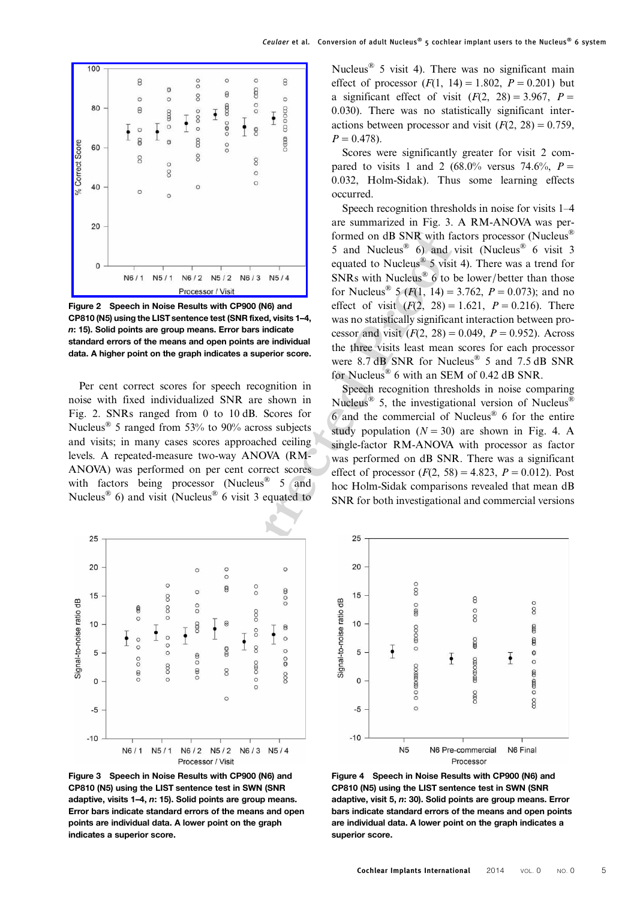<span id="page-4-0"></span>

Figure 2 Speech in Noise Results with CP900 (N6) and CP810 (N5) using the LIST sentence test (SNR fixed, visits 1–4, n: 15). Solid points are group means. Error bars indicate standard errors of the means and open points are individual data. A higher point on the graph indicates a superior score.

Per cent correct scores for speech recognition in noise with fixed individualized SNR are shown in Fig. 2. SNRs ranged from 0 to 10 dB. Scores for Nucleus<sup>®</sup> 5 ranged from 53% to 90% across subjects and visits; in many cases scores approached ceiling levels. A repeated-measure two-way ANOVA (RM-ANOVA) was performed on per cent correct scores with factors being processor (Nucleus<sup>®</sup> 5 and Nucleus<sup>®</sup> 6) and visit (Nucleus<sup>®</sup> 6 visit 3 equated to



Figure 3 Speech in Noise Results with CP900 (N6) and CP810 (N5) using the LIST sentence test in SWN (SNR adaptive, visits 1–4, n: 15). Solid points are group means. Error bars indicate standard errors of the means and open points are individual data. A lower point on the graph indicates a superior score.

Nucleus<sup>®</sup> 5 visit 4). There was no significant main effect of processor  $(F(1, 14) = 1.802, P = 0.201)$  but a significant effect of visit  $(F(2, 28) = 3.967, P =$ 0.030). There was no statistically significant interactions between processor and visit  $(F(2, 28) = 0.759$ ,  $P = 0.478$ .

Scores were significantly greater for visit 2 compared to visits 1 and 2 (68.0% versus 74.6%,  $P =$ 0.032, Holm-Sidak). Thus some learning effects occurred.

Formed on dB SNR with fact<br>
N6/2 N5/2 N6/3 N5/4<br>
equated to Nucleus<sup>86</sup> 6) and vis<br>
equated to Nucleus<sup>86</sup> 6) and vis<br>
SMRs with CP900 (N6) and<br>
SMRs with Nucleus<sup>86</sup> 5 (F(1, 14) = 3.7<br>
enterties the CNN fixed, with state Speech recognition thresholds in noise for visits 1–4 are summarized in Fig. 3. A RM-ANOVA was performed on dB SNR with factors processor (Nucleus<sup>®</sup> 5 and Nucleus<sup>®</sup> 6) and visit (Nucleus<sup>®</sup> 6 visit 3 equated to Nucleus<sup>®</sup> 5 visit 4). There was a trend for SNRs with Nucleus<sup>®</sup> 6 to be lower/better than those for Nucleus<sup>®</sup> 5 ( $F(1, 14) = 3.762$ ,  $P = 0.073$ ); and no effect of visit  $(F(2, 28) = 1.621, P = 0.216)$ . There was no statistically significant interaction between processor and visit  $(F(2, 28) = 0.049, P = 0.952)$ . Across the three visits least mean scores for each processor were 8.7 dB SNR for Nucleus<sup>®</sup> 5 and 7.5 dB SNR for Nucleus® 6 with an SEM of 0.42 dB SNR.

Speech recognition thresholds in noise comparing Nucleus<sup>®</sup> 5, the investigational version of Nucleus<sup>®</sup> 6 and the commercial of Nucleus® 6 for the entire study population  $(N = 30)$  are shown in Fig. 4. A single-factor RM-ANOVA with processor as factor was performed on dB SNR. There was a significant effect of processor  $(F(2, 58) = 4.823, P = 0.012)$ . Post hoc Holm-Sidak comparisons revealed that mean dB SNR for both investigational and commercial versions



Figure 4 Speech in Noise Results with CP900 (N6) and CP810 (N5) using the LIST sentence test in SWN (SNR adaptive, visit 5, n: 30). Solid points are group means. Error bars indicate standard errors of the means and open points are individual data. A lower point on the graph indicates a superior score.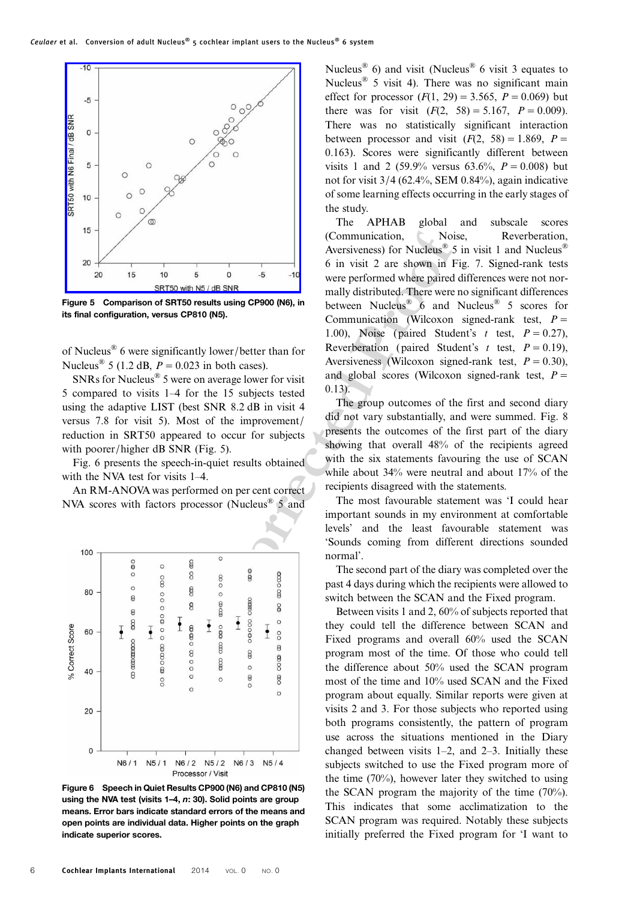

Figure 5 Comparison of SRT50 results using CP900 (N6), in its final configuration, versus CP810 (N5).

of Nucleus® 6 were significantly lower/better than for Nucleus<sup>®</sup> 5 (1.2 dB,  $P = 0.023$  in both cases).

SNRs for Nucleus® 5 were on average lower for visit 5 compared to visits 1–4 for the 15 subjects tested using the adaptive LIST (best SNR 8.2 dB in visit 4 versus 7.8 for visit 5). Most of the improvement/ reduction in SRT50 appeared to occur for subjects with poorer/higher dB SNR (Fig. 5).

Fig. 6 presents the speech-in-quiet results obtained with the NVA test for visits 1–4.

An RM-ANOVA was performed on per cent correct NVA scores with factors processor (Nucleus® 5 and



Figure 6 Speech in Quiet Results CP900 (N6) and CP810 (N5) using the NVA test (visits 1–4, n: 30). Solid points are group means. Error bars indicate standard errors of the means and open points are individual data. Higher points on the graph indicate superior scores.

Nucleus<sup>®</sup> 6) and visit (Nucleus<sup>®</sup> 6 visit 3 equates to Nucleus® 5 visit 4). There was no significant main effect for processor  $(F(1, 29) = 3.565, P = 0.069)$  but there was for visit  $(F(2, 58) = 5.167, P = 0.009)$ . There was no statistically significant interaction between processor and visit  $(F(2, 58) = 1.869, P =$ 0.163). Scores were significantly different between visits 1 and 2 (59.9% versus 63.6%,  $P = 0.008$ ) but not for visit  $3/4$  (62.4%, SEM 0.84%), again indicative of some learning effects occurring in the early stages of the study.

Communication, Noise,<br> **EXECUTE ACTES AND ACTE COMMUNIST AND ACTE (SEE A SOMET SURFALL AND AND ACTES ARE SURFALL AND ACTES AND ACTES AND ACTES (CONTINUES AND ACTES CONTINUES AND COMMUNICAL There we no average lower proton** The APHAB global and subscale scores (Communication, Noise, Reverberation, Aversiveness) for Nucleus<sup>®</sup> 5 in visit 1 and Nucleus<sup>®</sup> 6 in visit 2 are shown in Fig. [7](#page-6-0). Signed-rank tests were performed where paired differences were not normally distributed. There were no significant differences between Nucleus<sup>®</sup> 6 and Nucleus<sup>®</sup> 5 scores for Communication (Wilcoxon signed-rank test,  $P =$ 1.00), Noise (paired Student's t test,  $P = 0.27$ ), Reverberation (paired Student's t test,  $P = 0.19$ ), Aversiveness (Wilcoxon signed-rank test,  $P = 0.30$ ), and global scores (Wilcoxon signed-rank test,  $P =$ 0.13).

The group outcomes of the first and second diary did not vary substantially, and were summed. Fig. [8](#page-6-0) presents the outcomes of the first part of the diary showing that overall 48% of the recipients agreed with the six statements favouring the use of SCAN while about 34% were neutral and about 17% of the recipients disagreed with the statements.

The most favourable statement was 'I could hear important sounds in my environment at comfortable levels' and the least favourable statement was 'Sounds coming from different directions sounded normal'.

The second part of the diary was completed over the past 4 days during which the recipients were allowed to switch between the SCAN and the Fixed program.

Between visits 1 and 2, 60% of subjects reported that they could tell the difference between SCAN and Fixed programs and overall 60% used the SCAN program most of the time. Of those who could tell the difference about 50% used the SCAN program most of the time and 10% used SCAN and the Fixed program about equally. Similar reports were given at visits 2 and 3. For those subjects who reported using both programs consistently, the pattern of program use across the situations mentioned in the Diary changed between visits 1–2, and 2–3. Initially these subjects switched to use the Fixed program more of the time (70%), however later they switched to using the SCAN program the majority of the time (70%). This indicates that some acclimatization to the SCAN program was required. Notably these subjects initially preferred the Fixed program for 'I want to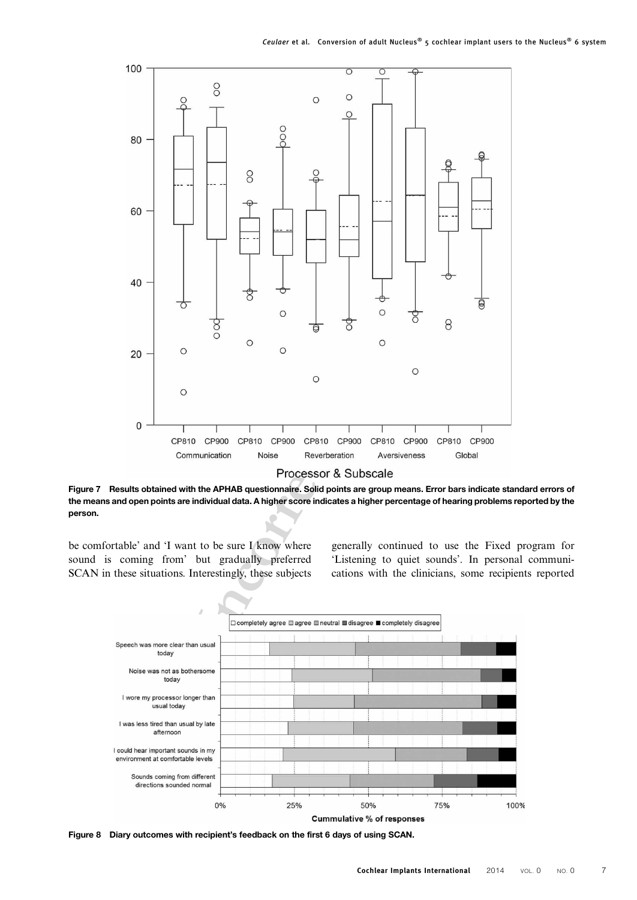<span id="page-6-0"></span>

Figure 7 Results obtained with the APHAB questionnaire. Solid points are group means. Error bars indicate standard errors of the means and open points are individual data. A higher score indicates a higher percentage of hearing problems reported by the person.

be comfortable' and 'I want to be sure I know where sound is coming from' but gradually preferred SCAN in these situations. Interestingly, these subjects generally continued to use the Fixed program for 'Listening to quiet sounds'. In personal communications with the clinicians, some recipients reported



Figure 8 Diary outcomes with recipient's feedback on the first 6 days of using SCAN.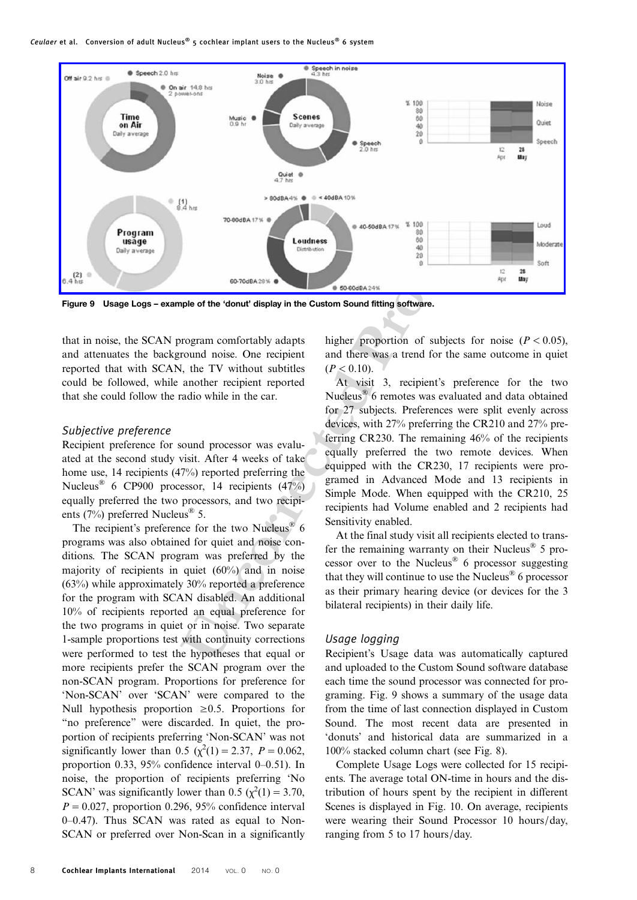Ceulaer et al. Conversion of adult Nucleus® 5 cochlear implant users to the Nucleus® 6 system



Figure 9 Usage Logs – example of the 'donut' display in the Custom Sound fitting software.

that in noise, the SCAN program comfortably adapts and attenuates the background noise. One recipient reported that with SCAN, the TV without subtitles could be followed, while another recipient reported that she could follow the radio while in the car.

#### Subjective preference

Recipient preference for sound processor was evaluated at the second study visit. After 4 weeks of take home use, 14 recipients (47%) reported preferring the Nucleus® 6 CP900 processor, 14 recipients (47%) equally preferred the two processors, and two recipients (7%) preferred Nucleus<sup>®</sup> 5.

The recipient's preference for the two Nucleus<sup>®</sup> 6 programs was also obtained for quiet and noise conditions. The SCAN program was preferred by the majority of recipients in quiet (60%) and in noise (63%) while approximately 30% reported a preference for the program with SCAN disabled. An additional 10% of recipients reported an equal preference for the two programs in quiet or in noise. Two separate 1-sample proportions test with continuity corrections were performed to test the hypotheses that equal or more recipients prefer the SCAN program over the non-SCAN program. Proportions for preference for 'Non-SCAN' over 'SCAN' were compared to the Null hypothesis proportion  $\geq 0.5$ . Proportions for "no preference" were discarded. In quiet, the proportion of recipients preferring 'Non-SCAN' was not significantly lower than 0.5 ( $\chi^2(1) = 2.37$ ,  $P = 0.062$ , proportion 0.33, 95% confidence interval 0–0.51). In noise, the proportion of recipients preferring 'No SCAN' was significantly lower than 0.5 ( $\chi^2(1) = 3.70$ ,  $P = 0.027$ , proportion 0.296, 95% confidence interval 0–0.47). Thus SCAN was rated as equal to Non-SCAN or preferred over Non-Scan in a significantly higher proportion of subjects for noise ( $P < 0.05$ ), and there was a trend for the same outcome in quiet  $(P < 0.10)$ .

**Uncorrect CONSUMERED CONSUMERED ASSESS (CONSUMERED ASSESS)**<br> **UNCORRECTED ASSESS (CONSUMERED ASSESS)**<br> **UNCORRECTED ASSESS (CONSUMERED ASSESS)**<br> **UNCORRECTED ASSESS**<br> **UNCORRECTED ASSESS**<br> **UNCORRECTED ASSESS**<br> **UNCORRECT** At visit 3, recipient's preference for the two Nucleus® 6 remotes was evaluated and data obtained for 27 subjects. Preferences were split evenly across devices, with 27% preferring the CR210 and 27% preferring CR230. The remaining 46% of the recipients equally preferred the two remote devices. When equipped with the CR230, 17 recipients were programed in Advanced Mode and 13 recipients in Simple Mode. When equipped with the CR210, 25 recipients had Volume enabled and 2 recipients had Sensitivity enabled.

At the final study visit all recipients elected to transfer the remaining warranty on their Nucleus<sup>®</sup> 5 processor over to the Nucleus® 6 processor suggesting that they will continue to use the Nucleus<sup>®</sup> 6 processor as their primary hearing device (or devices for the 3 bilateral recipients) in their daily life.

# Usage logging

Recipient's Usage data was automatically captured and uploaded to the Custom Sound software database each time the sound processor was connected for programing. Fig. 9 shows a summary of the usage data from the time of last connection displayed in Custom Sound. The most recent data are presented in 'donuts' and historical data are summarized in a 100% stacked column chart (see Fig. [8](#page-6-0)).

Complete Usage Logs were collected for 15 recipients. The average total ON-time in hours and the distribution of hours spent by the recipient in different Scenes is displayed in Fig. [10.](#page-8-0) On average, recipients were wearing their Sound Processor 10 hours/day, ranging from 5 to 17 hours/day.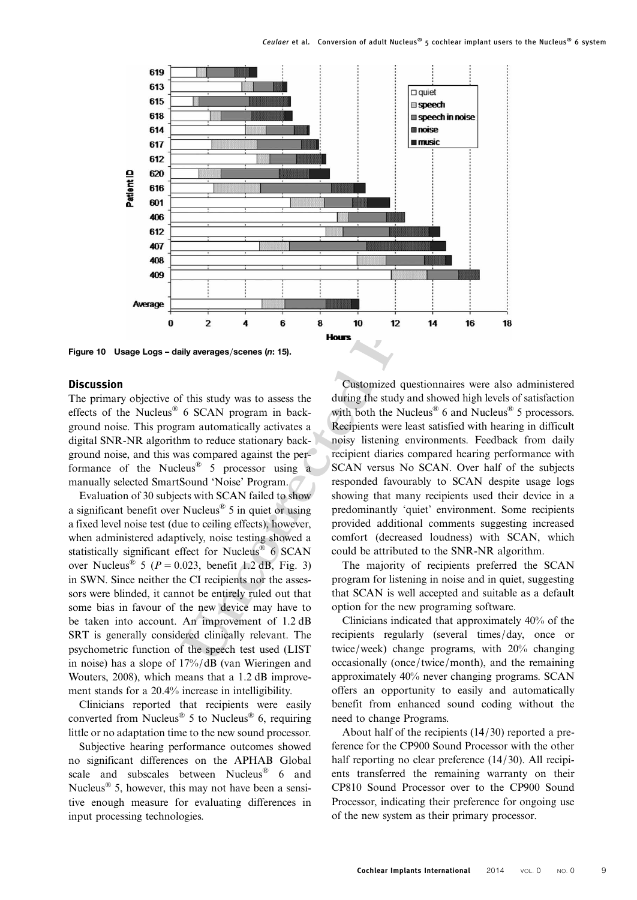<span id="page-8-0"></span>

Figure 10 Usage Logs – daily averages/scenes (n: 15).

# **Discussion**

The primary objective of this study was to assess the effects of the Nucleus® 6 SCAN program in background noise. This program automatically activates a digital SNR-NR algorithm to reduce stationary background noise, and this was compared against the performance of the Nucleus<sup>®</sup>  $\overline{5}$  processor using a manually selected SmartSound 'Noise' Program.

Evaluation of 30 subjects with SCAN failed to show a significant benefit over Nucleus® 5 in quiet or using a fixed level noise test (due to ceiling effects), however, when administered adaptively, noise testing showed a statistically significant effect for Nucleus<sup>®</sup> 6 SCAN over Nucleus<sup>®</sup> 5 ( $P = 0.023$ , benefit 1.2 dB, Fig. 3) in SWN. Since neither the CI recipients nor the assessors were blinded, it cannot be entirely ruled out that some bias in favour of the new device may have to be taken into account. An improvement of 1.2 dB SRT is generally considered clinically relevant. The psychometric function of the speech test used (LIST in noise) has a slope of 17%/dB [\(van Wieringen and](#page-10-0) [Wouters, 2008](#page-10-0)), which means that a 1.2 dB improvement stands for a 20.4% increase in intelligibility.

Clinicians reported that recipients were easily converted from Nucleus<sup>®</sup> 5 to Nucleus<sup>®</sup> 6, requiring little or no adaptation time to the new sound processor.

Subjective hearing performance outcomes showed no significant differences on the APHAB Global scale and subscales between Nucleus® 6 and Nucleus<sup>®</sup> 5, however, this may not have been a sensitive enough measure for evaluating differences in input processing technologies.

Customized questionnaires were also administered during the study and showed high levels of satisfaction with both the Nucleus<sup>®</sup> 6 and Nucleus<sup>®</sup> 5 processors. Recipients were least satisfied with hearing in difficult noisy listening environments. Feedback from daily recipient diaries compared hearing performance with SCAN versus No SCAN. Over half of the subjects responded favourably to SCAN despite usage logs showing that many recipients used their device in a predominantly 'quiet' environment. Some recipients provided additional comments suggesting increased comfort (decreased loudness) with SCAN, which could be attributed to the SNR-NR algorithm.

The majority of recipients preferred the SCAN program for listening in noise and in quiet, suggesting that SCAN is well accepted and suitable as a default option for the new programing software.

Clinicians indicated that approximately 40% of the recipients regularly (several times/day, once or twice/week) change programs, with 20% changing occasionally (once/twice/month), and the remaining approximately 40% never changing programs. SCAN offers an opportunity to easily and automatically benefit from enhanced sound coding without the need to change Programs.

About half of the recipients (14/30) reported a preference for the CP900 Sound Processor with the other half reporting no clear preference (14/30). All recipients transferred the remaining warranty on their CP810 Sound Processor over to the CP900 Sound Processor, indicating their preference for ongoing use of the new system as their primary processor.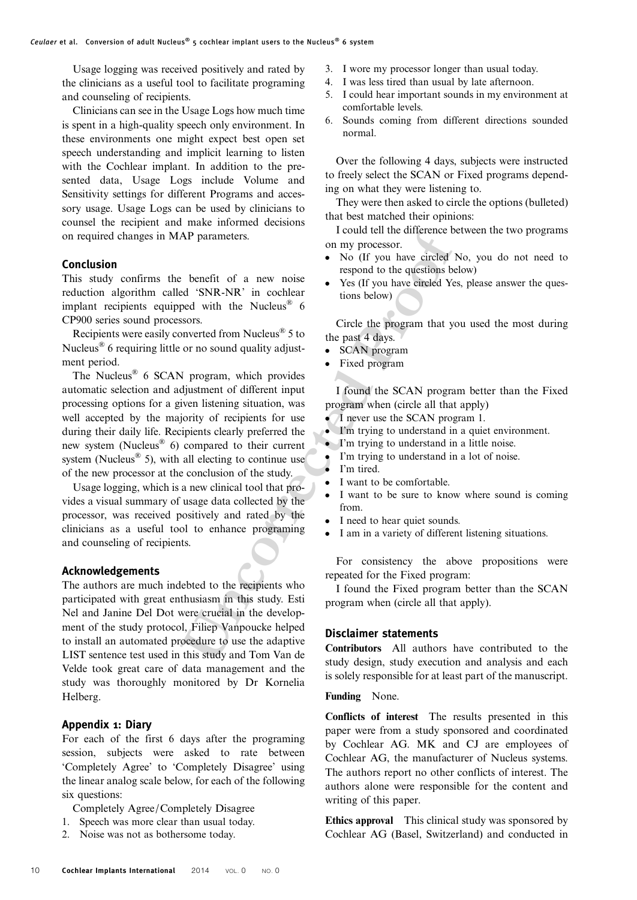Usage logging was received positively and rated by the clinicians as a useful tool to facilitate programing and counseling of recipients.

Clinicians can see in the Usage Logs how much time is spent in a high-quality speech only environment. In these environments one might expect best open set speech understanding and implicit learning to listen with the Cochlear implant. In addition to the presented data, Usage Logs include Volume and Sensitivity settings for different Programs and accessory usage. Usage Logs can be used by clinicians to counsel the recipient and make informed decisions on required changes in MAP parameters.

# Conclusion

This study confirms the benefit of a new noise reduction algorithm called 'SNR-NR' in cochlear implant recipients equipped with the Nucleus<sup>®</sup>  $6$ CP900 series sound processors.

Recipients were easily converted from Nucleus® 5 to Nucleus<sup>®</sup> 6 requiring little or no sound quality adjustment period.

**EXECTS AND THE SET AND THE SET AND THE SET AND THE SET AND THE SET AND THE SET AND THE SET AND THE SET AND THE SET AND THE SET AND THE SET AND THE SET AND THE SET AND THE SET AND THE SET AND THE SET AND THE SET AND THE SE** The Nucleus<sup>®</sup> 6 SCAN program, which provides automatic selection and adjustment of different input processing options for a given listening situation, was well accepted by the majority of recipients for use during their daily life. Recipients clearly preferred the new system (Nucleus® 6) compared to their current system (Nucleus<sup>®</sup> 5), with all electing to continue use of the new processor at the conclusion of the study.

Usage logging, which is a new clinical tool that provides a visual summary of usage data collected by the processor, was received positively and rated by the clinicians as a useful tool to enhance programing and counseling of recipients.

# Acknowledgements

The authors are much indebted to the recipients who participated with great enthusiasm in this study. Esti Nel and Janine Del Dot were crucial in the development of the study protocol, Filiep Vanpoucke helped to install an automated procedure to use the adaptive LIST sentence test used in this study and Tom Van de Velde took great care of data management and the study was thoroughly monitored by Dr Kornelia Helberg.

# Appendix 1: Diary

For each of the first 6 days after the programing session, subjects were asked to rate between 'Completely Agree' to 'Completely Disagree' using the linear analog scale below, for each of the following six questions:

Completely Agree/Completely Disagree

- 1. Speech was more clear than usual today.
- 2. Noise was not as bothersome today.
- 3. I wore my processor longer than usual today.
- 4. I was less tired than usual by late afternoon.
- 5. I could hear important sounds in my environment at comfortable levels.
- 6. Sounds coming from different directions sounded normal.

Over the following 4 days, subjects were instructed to freely select the SCAN or Fixed programs depending on what they were listening to.

They were then asked to circle the options (bulleted) that best matched their opinions:

I could tell the difference between the two programs on my processor.

- No (If you have circled No, you do not need to respond to the questions below)
- Yes (If you have circled Yes, please answer the questions below)

Circle the program that you used the most during the past 4 days.

- SCAN program
- Fixed program

I found the SCAN program better than the Fixed program when (circle all that apply)

- *I* never use the SCAN program 1.
- I'm trying to understand in a quiet environment.
- I'm trying to understand in a little noise.
- I'm trying to understand in a lot of noise.
- I'm tired.
- I want to be comfortable.
- I want to be sure to know where sound is coming from.
- I need to hear quiet sounds.
- I am in a variety of different listening situations.

For consistency the above propositions were repeated for the Fixed program:

I found the Fixed program better than the SCAN program when (circle all that apply).

#### Disclaimer statements

Contributors All authors have contributed to the study design, study execution and analysis and each is solely responsible for at least part of the manuscript.

#### Funding None.

Conflicts of interest The results presented in this paper were from a study sponsored and coordinated by Cochlear AG. MK and CJ are employees of Cochlear AG, the manufacturer of Nucleus systems. The authors report no other conflicts of interest. The authors alone were responsible for the content and writing of this paper.

Ethics approval This clinical study was sponsored by Cochlear AG (Basel, Switzerland) and conducted in